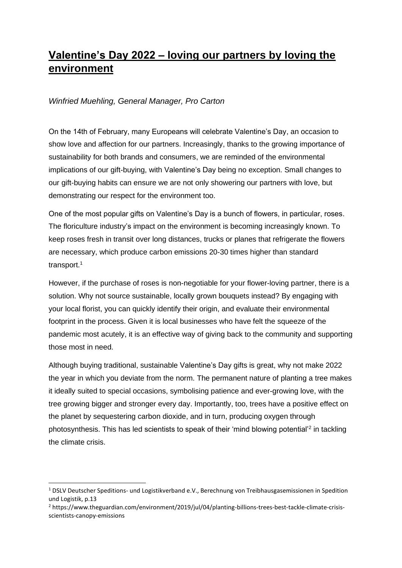## **Valentine's Day 2022 – loving our partners by loving the environment**

## *Winfried Muehling, General Manager, Pro Carton*

On the 14th of February, many Europeans will celebrate Valentine's Day, an occasion to show love and affection for our partners. Increasingly, thanks to the growing importance of sustainability for both brands and consumers, we are reminded of the environmental implications of our gift-buying, with Valentine's Day being no exception. Small changes to our gift-buying habits can ensure we are not only showering our partners with love, but demonstrating our respect for the environment too.

One of the most popular gifts on Valentine's Day is a bunch of flowers, in particular, roses. The floriculture industry's impact on the environment is becoming increasingly known. To keep roses fresh in transit over long distances, trucks or planes that refrigerate the flowers are necessary, which produce carbon emissions 20-30 times higher than standard transport.<sup>1</sup>

However, if the purchase of roses is non-negotiable for your flower-loving partner, there is a solution. Why not source sustainable, locally grown bouquets instead? By engaging with your local florist, you can quickly identify their origin, and evaluate their environmental footprint in the process. Given it is local businesses who have felt the squeeze of the pandemic most acutely, it is an effective way of giving back to the community and supporting those most in need.

Although buying traditional, sustainable Valentine's Day gifts is great, why not make 2022 the year in which you deviate from the norm. The permanent nature of planting a tree makes it ideally suited to special occasions, symbolising patience and ever-growing love, with the tree growing bigger and stronger every day. Importantly, too, trees have a positive effect on the planet by sequestering carbon dioxide, and in turn, producing oxygen through photosynthesis. This has led scientists to speak of their 'mind blowing potential'<sup>2</sup> in tackling the climate crisis.

<sup>1</sup> DSLV Deutscher Speditions- und Logistikverband e.V., Berechnung von Treibhausgasemissionen in Spedition und Logistik, p.13

<sup>2</sup> https://www.theguardian.com/environment/2019/jul/04/planting-billions-trees-best-tackle-climate-crisisscientists-canopy-emissions